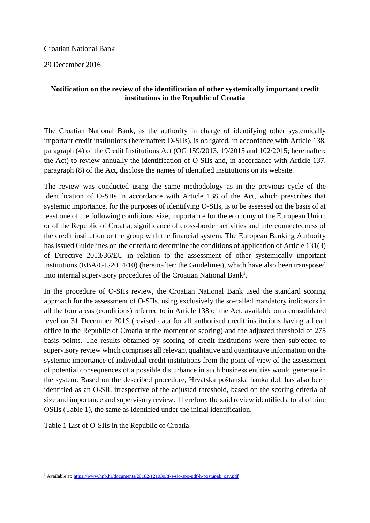## Croatian National Bank

29 December 2016

## **Notification on the review of the identification of other systemically important credit institutions in the Republic of Croatia**

The Croatian National Bank, as the authority in charge of identifying other systemically important credit institutions (hereinafter: O-SIIs), is obligated, in accordance with Article 138, paragraph (4) of the Credit Institutions Act (OG 159/2013, 19/2015 and 102/2015; hereinafter: the Act) to review annually the identification of O-SIIs and, in accordance with Article 137, paragraph (8) of the Act, disclose the names of identified institutions on its website.

The review was conducted using the same methodology as in the previous cycle of the identification of O-SIIs in accordance with Article 138 of the Act, which prescribes that systemic importance, for the purposes of identifying O-SIIs, is to be assessed on the basis of at least one of the following conditions: size, importance for the economy of the European Union or of the Republic of Croatia, significance of cross-border activities and interconnectedness of the credit institution or the group with the financial system. The European Banking Authority has issued Guidelines on the criteria to determine the conditions of application of Article 131(3) of Directive 2013/36/EU in relation to the assessment of other systemically important institutions (EBA/GL/2014/10) (hereinafter: the Guidelines), which have also been transposed into internal supervisory procedures of the Croatian National Bank<sup>1</sup>.

In the procedure of O-SIIs review, the Croatian National Bank used the standard scoring approach for the assessment of O-SIIs, using exclusively the so-called mandatory indicators in all the four areas (conditions) referred to in Article 138 of the Act, available on a consolidated level on 31 December 2015 (revised data for all authorised credit institutions having a head office in the Republic of Croatia at the moment of scoring) and the adjusted threshold of 275 basis points. The results obtained by scoring of credit institutions were then subjected to supervisory review which comprises all relevant qualitative and quantitative information on the systemic importance of individual credit institutions from the point of view of the assessment of potential consequences of a possible disturbance in such business entities would generate in the system. Based on the described procedure, Hrvatska poštanska banka d.d. has also been identified as an O-SII, irrespective of the adjusted threshold, based on the scoring criteria of size and importance and supervisory review. Therefore, the said review identified a total of nine OSIIs (Table 1), the same as identified under the initial identification.

Table 1 List of O-SIIs in the Republic of Croatia

<sup>&</sup>lt;sup>1</sup> Available at: https://www.hnb.hr/documents/20182/121030/tf-s-sjo-spo-pdf-h-postupak\_osv.pdf